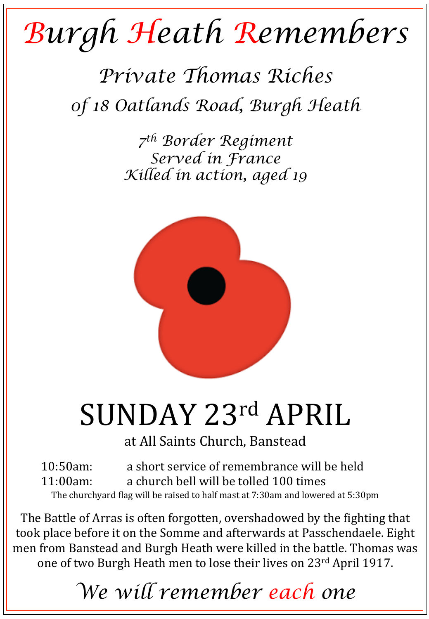## *Burgh Heath Remembers*

## *Private Thomas Riches 0f 18 Oatlands Road, Burgh Heath*

*7th Border Regiment Served in France Killed in action, aged 19* 



## SUNDAY 23rd APRIL

at All Saints Church, Banstead

10:50am: a short service of remembrance will be held 11:00am: a church bell will be tolled 100 times The churchyard flag will be raised to half mast at 7:30am and lowered at 5:30pm

The Battle of Arras is often forgotten, overshadowed by the fighting that took place before it on the Somme and afterwards at Passchendaele. Eight men from Banstead and Burgh Heath were killed in the battle. Thomas was one of two Burgh Heath men to lose their lives on 23<sup>rd</sup> April 1917.

*We will remember each one*